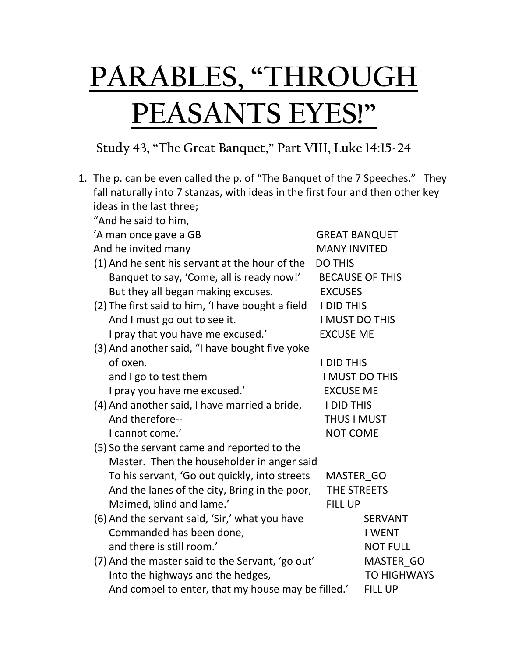## **PARABLES, "THROUGH PEASANTS EYES!"**

## **Study 43, "The Great Banquet," Part VIII, Luke 14:15-24**

|                          |                                                                                | 1. The p. can be even called the p. of "The Banquet of the 7 Speeches." They |                        |  |
|--------------------------|--------------------------------------------------------------------------------|------------------------------------------------------------------------------|------------------------|--|
|                          | fall naturally into 7 stanzas, with ideas in the first four and then other key |                                                                              |                        |  |
| ideas in the last three; |                                                                                |                                                                              |                        |  |
|                          | "And he said to him,                                                           |                                                                              |                        |  |
|                          | 'A man once gave a GB                                                          | <b>GREAT BANQUET</b>                                                         |                        |  |
|                          | And he invited many                                                            | <b>MANY INVITED</b>                                                          |                        |  |
|                          | (1) And he sent his servant at the hour of the                                 |                                                                              | <b>DO THIS</b>         |  |
|                          | Banquet to say, 'Come, all is ready now!'                                      |                                                                              | <b>BECAUSE OF THIS</b> |  |
|                          | But they all began making excuses.                                             | <b>EXCUSES</b>                                                               |                        |  |
|                          | (2) The first said to him, 'I have bought a field                              | <b>I DID THIS</b>                                                            |                        |  |
|                          | And I must go out to see it.                                                   | I MUST DO THIS                                                               |                        |  |
|                          | I pray that you have me excused.'                                              | <b>EXCUSE ME</b>                                                             |                        |  |
|                          | (3) And another said, "I have bought five yoke                                 |                                                                              |                        |  |
|                          | of oxen.                                                                       | <b>I DID THIS</b>                                                            |                        |  |
|                          | and I go to test them                                                          | I MUST DO THIS                                                               |                        |  |
|                          | I pray you have me excused.'                                                   | <b>EXCUSE ME</b>                                                             |                        |  |
|                          | (4) And another said, I have married a bride,                                  | <b>I DID THIS</b>                                                            |                        |  |
|                          | And therefore--                                                                | <b>THUS I MUST</b>                                                           |                        |  |
|                          | I cannot come.'                                                                | <b>NOT COME</b>                                                              |                        |  |
|                          | (5) So the servant came and reported to the                                    |                                                                              |                        |  |
|                          | Master. Then the householder in anger said                                     |                                                                              |                        |  |
|                          | To his servant, 'Go out quickly, into streets                                  | MASTER GO                                                                    |                        |  |
|                          | And the lanes of the city, Bring in the poor,                                  | THE STREETS                                                                  |                        |  |
|                          | Maimed, blind and lame.'                                                       | <b>FILL UP</b>                                                               |                        |  |
|                          | (6) And the servant said, 'Sir,' what you have                                 |                                                                              | <b>SERVANT</b>         |  |
|                          | Commanded has been done,                                                       |                                                                              | <b>I WENT</b>          |  |
|                          | and there is still room.'                                                      |                                                                              | <b>NOT FULL</b>        |  |
|                          | (7) And the master said to the Servant, 'go out'                               |                                                                              | MASTER GO              |  |
|                          | Into the highways and the hedges,                                              |                                                                              | <b>TO HIGHWAYS</b>     |  |
|                          | And compel to enter, that my house may be filled.'                             |                                                                              | <b>FILL UP</b>         |  |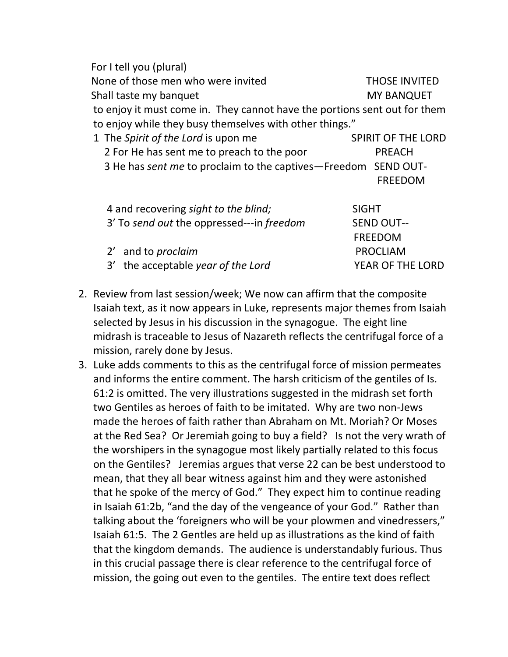For I tell you (plural) None of those men who were invited THOSE INVITED Shall taste my banquet MY BANQUET to enjoy it must come in. They cannot have the portions sent out for them to enjoy while they busy themselves with other things." 1 The *Spirit of the Lord* is upon me SPIRIT OF THE LORD 2 For He has sent me to preach to the poor PREACH 3 He has *sent me* to proclaim to the captives—Freedom SEND OUT- FREEDOM 4 and recovering *sight to the blind;* SIGHT 3' To *send out* the oppressed---in *freedom* SEND OUT-- FREEDOM 2' and to *proclaim* PROCLIAM 3' the acceptable *year of the Lord* YEAR OF THE LORD

- 2. Review from last session/week; We now can affirm that the composite Isaiah text, as it now appears in Luke, represents major themes from Isaiah selected by Jesus in his discussion in the synagogue. The eight line midrash is traceable to Jesus of Nazareth reflects the centrifugal force of a mission, rarely done by Jesus.
- 3. Luke adds comments to this as the centrifugal force of mission permeates and informs the entire comment. The harsh criticism of the gentiles of Is. 61:2 is omitted. The very illustrations suggested in the midrash set forth two Gentiles as heroes of faith to be imitated. Why are two non-Jews made the heroes of faith rather than Abraham on Mt. Moriah? Or Moses at the Red Sea? Or Jeremiah going to buy a field? Is not the very wrath of the worshipers in the synagogue most likely partially related to this focus on the Gentiles? Jeremias argues that verse 22 can be best understood to mean, that they all bear witness against him and they were astonished that he spoke of the mercy of God." They expect him to continue reading in Isaiah 61:2b, "and the day of the vengeance of your God." Rather than talking about the 'foreigners who will be your plowmen and vinedressers," Isaiah 61:5. The 2 Gentles are held up as illustrations as the kind of faith that the kingdom demands. The audience is understandably furious. Thus in this crucial passage there is clear reference to the centrifugal force of mission, the going out even to the gentiles. The entire text does reflect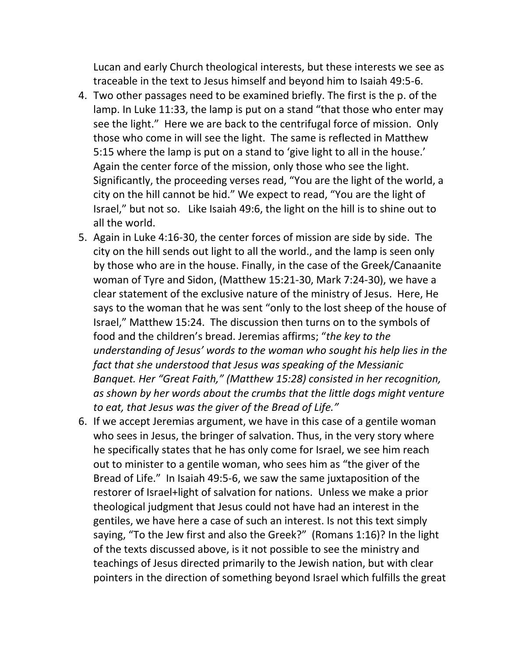Lucan and early Church theological interests, but these interests we see as traceable in the text to Jesus himself and beyond him to Isaiah 49:5-6.

- 4. Two other passages need to be examined briefly. The first is the p. of the lamp. In Luke 11:33, the lamp is put on a stand "that those who enter may see the light." Here we are back to the centrifugal force of mission. Only those who come in will see the light. The same is reflected in Matthew 5:15 where the lamp is put on a stand to 'give light to all in the house.' Again the center force of the mission, only those who see the light. Significantly, the proceeding verses read, "You are the light of the world, a city on the hill cannot be hid." We expect to read, "You are the light of Israel," but not so. Like Isaiah 49:6, the light on the hill is to shine out to all the world.
- 5. Again in Luke 4:16-30, the center forces of mission are side by side. The city on the hill sends out light to all the world., and the lamp is seen only by those who are in the house. Finally, in the case of the Greek/Canaanite woman of Tyre and Sidon, (Matthew 15:21-30, Mark 7:24-30), we have a clear statement of the exclusive nature of the ministry of Jesus. Here, He says to the woman that he was sent "only to the lost sheep of the house of Israel," Matthew 15:24. The discussion then turns on to the symbols of food and the children's bread. Jeremias affirms; "*the key to the understanding of Jesus' words to the woman who sought his help lies in the fact that she understood that Jesus was speaking of the Messianic Banquet. Her "Great Faith," (Matthew 15:28) consisted in her recognition, as shown by her words about the crumbs that the little dogs might venture to eat, that Jesus was the giver of the Bread of Life."*
- 6. If we accept Jeremias argument, we have in this case of a gentile woman who sees in Jesus, the bringer of salvation. Thus, in the very story where he specifically states that he has only come for Israel, we see him reach out to minister to a gentile woman, who sees him as "the giver of the Bread of Life." In Isaiah 49:5-6, we saw the same juxtaposition of the restorer of Israel+light of salvation for nations. Unless we make a prior theological judgment that Jesus could not have had an interest in the gentiles, we have here a case of such an interest. Is not this text simply saying, "To the Jew first and also the Greek?" (Romans 1:16)? In the light of the texts discussed above, is it not possible to see the ministry and teachings of Jesus directed primarily to the Jewish nation, but with clear pointers in the direction of something beyond Israel which fulfills the great